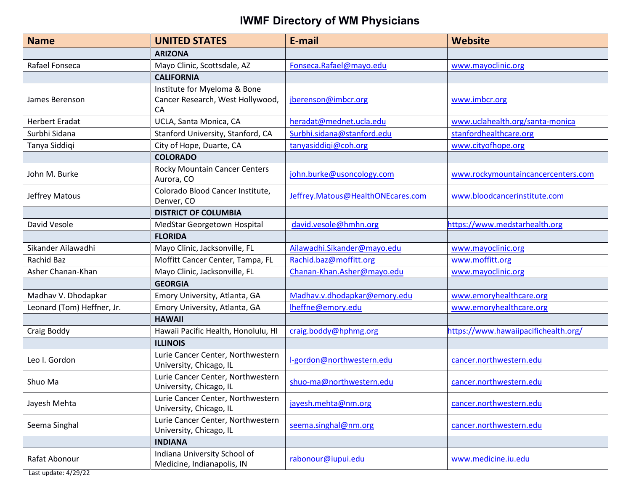| <b>Name</b>                | <b>UNITED STATES</b>                                                   | E-mail                            | <b>Website</b>                       |
|----------------------------|------------------------------------------------------------------------|-----------------------------------|--------------------------------------|
|                            | <b>ARIZONA</b>                                                         |                                   |                                      |
| Rafael Fonseca             | Mayo Clinic, Scottsdale, AZ                                            | Fonseca.Rafael@mayo.edu           | www.mayoclinic.org                   |
|                            | <b>CALIFORNIA</b>                                                      |                                   |                                      |
| James Berenson             | Institute for Myeloma & Bone<br>Cancer Research, West Hollywood,<br>CA | jberenson@imbcr.org               | www.imbcr.org                        |
| <b>Herbert Eradat</b>      | UCLA, Santa Monica, CA                                                 | heradat@mednet.ucla.edu           | www.uclahealth.org/santa-monica      |
| Surbhi Sidana              | Stanford University, Stanford, CA                                      | Surbhi.sidana@stanford.edu        | stanfordhealthcare.org               |
| Tanya Siddiqi              | City of Hope, Duarte, CA                                               | tanyasiddiqi@coh.org              | www.cityofhope.org                   |
|                            | <b>COLORADO</b>                                                        |                                   |                                      |
| John M. Burke              | Rocky Mountain Cancer Centers<br>Aurora, CO                            | john.burke@usoncology.com         | www.rockymountaincancercenters.com   |
| Jeffrey Matous             | Colorado Blood Cancer Institute,<br>Denver, CO                         | Jeffrey.Matous@HealthONEcares.com | www.bloodcancerinstitute.com         |
|                            | <b>DISTRICT OF COLUMBIA</b>                                            |                                   |                                      |
| David Vesole               | MedStar Georgetown Hospital                                            | david.vesole@hmhn.org             | https://www.medstarhealth.org        |
|                            | <b>FLORIDA</b>                                                         |                                   |                                      |
| Sikander Ailawadhi         | Mayo Clinic, Jacksonville, FL                                          | Ailawadhi.Sikander@mayo.edu       | www.mayoclinic.org                   |
| Rachid Baz                 | Moffitt Cancer Center, Tampa, FL                                       | Rachid.baz@moffitt.org            | www.moffitt.org                      |
| Asher Chanan-Khan          | Mayo Clinic, Jacksonville, FL                                          | Chanan-Khan.Asher@mayo.edu        | www.mayoclinic.org                   |
|                            | <b>GEORGIA</b>                                                         |                                   |                                      |
| Madhav V. Dhodapkar        | Emory University, Atlanta, GA                                          | Madhav.v.dhodapkar@emory.edu      | www.emoryhealthcare.org              |
| Leonard (Tom) Heffner, Jr. | Emory University, Atlanta, GA                                          | Iheffne@emory.edu                 | www.emoryhealthcare.org              |
|                            | <b>HAWAII</b>                                                          |                                   |                                      |
| Craig Boddy                | Hawaii Pacific Health, Honolulu, HI                                    | craig.boddy@hphmg.org             | https://www.hawaiipacifichealth.org/ |
|                            | <b>ILLINOIS</b>                                                        |                                   |                                      |
| Leo I. Gordon              | Lurie Cancer Center, Northwestern<br>University, Chicago, IL           | l-gordon@northwestern.edu         | cancer.northwestern.edu              |
| Shuo Ma                    | Lurie Cancer Center, Northwestern<br>University, Chicago, IL           | shuo-ma@northwestern.edu          | cancer.northwestern.edu              |
| Jayesh Mehta               | Lurie Cancer Center, Northwestern<br>University, Chicago, IL           | jayesh.mehta@nm.org               | cancer.northwestern.edu              |
| Seema Singhal              | Lurie Cancer Center, Northwestern<br>University, Chicago, IL           | seema.singhal@nm.org              | cancer.northwestern.edu              |
|                            | <b>INDIANA</b>                                                         |                                   |                                      |
| Rafat Abonour              | Indiana University School of<br>Medicine, Indianapolis, IN             | rabonour@iupui.edu                | www.medicine.iu.edu                  |

Last update: 4/29/22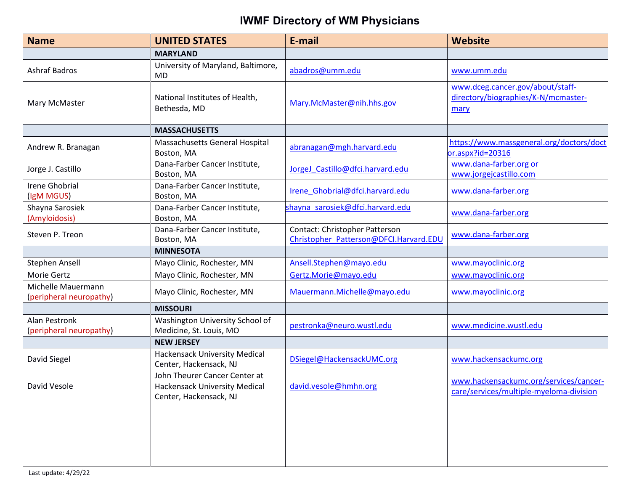| <b>Name</b>                                   | <b>UNITED STATES</b>                                                                            | E-mail                                                                   | <b>Website</b>                                                                    |
|-----------------------------------------------|-------------------------------------------------------------------------------------------------|--------------------------------------------------------------------------|-----------------------------------------------------------------------------------|
|                                               | <b>MARYLAND</b>                                                                                 |                                                                          |                                                                                   |
| <b>Ashraf Badros</b>                          | University of Maryland, Baltimore,<br>MD                                                        | abadros@umm.edu                                                          | www.umm.edu                                                                       |
| Mary McMaster                                 | National Institutes of Health,<br>Bethesda, MD                                                  | Mary.McMaster@nih.hhs.gov                                                | www.dceg.cancer.gov/about/staff-<br>directory/biographies/K-N/mcmaster-<br>mary   |
|                                               | <b>MASSACHUSETTS</b>                                                                            |                                                                          |                                                                                   |
| Andrew R. Branagan                            | Massachusetts General Hospital<br>Boston, MA                                                    | abranagan@mgh.harvard.edu                                                | https://www.massgeneral.org/doctors/doct<br>or.aspx?id=20316                      |
| Jorge J. Castillo                             | Dana-Farber Cancer Institute,<br>Boston, MA                                                     | JorgeJ_Castillo@dfci.harvard.edu                                         | www.dana-farber.org or<br>www.jorgejcastillo.com                                  |
| <b>Irene Ghobrial</b><br>(IgM MGUS)           | Dana-Farber Cancer Institute,<br>Boston, MA                                                     | Irene Ghobrial@dfci.harvard.edu                                          | www.dana-farber.org                                                               |
| Shayna Sarosiek<br>(Amyloidosis)              | Dana-Farber Cancer Institute,<br>Boston, MA                                                     | shayna sarosiek@dfci.harvard.edu                                         | www.dana-farber.org                                                               |
| Steven P. Treon                               | Dana-Farber Cancer Institute,<br>Boston, MA                                                     | Contact: Christopher Patterson<br>Christopher Patterson@DFCI.Harvard.EDU | www.dana-farber.org                                                               |
|                                               | <b>MINNESOTA</b>                                                                                |                                                                          |                                                                                   |
| Stephen Ansell                                | Mayo Clinic, Rochester, MN                                                                      | Ansell.Stephen@mayo.edu                                                  | www.mayoclinic.org                                                                |
| Morie Gertz                                   | Mayo Clinic, Rochester, MN                                                                      | Gertz.Morie@mayo.edu                                                     | www.mayoclinic.org                                                                |
| Michelle Mauermann<br>(peripheral neuropathy) | Mayo Clinic, Rochester, MN                                                                      | Mauermann.Michelle@mayo.edu                                              | www.mayoclinic.org                                                                |
|                                               | <b>MISSOURI</b>                                                                                 |                                                                          |                                                                                   |
| Alan Pestronk<br>(peripheral neuropathy)      | Washington University School of<br>Medicine, St. Louis, MO                                      | pestronka@neuro.wustl.edu                                                | www.medicine.wustl.edu                                                            |
|                                               | <b>NEW JERSEY</b>                                                                               |                                                                          |                                                                                   |
| David Siegel                                  | <b>Hackensack University Medical</b><br>Center, Hackensack, NJ                                  | DSiegel@HackensackUMC.org                                                | www.hackensackumc.org                                                             |
| David Vesole                                  | John Theurer Cancer Center at<br><b>Hackensack University Medical</b><br>Center, Hackensack, NJ | david.vesole@hmhn.org                                                    | www.hackensackumc.org/services/cancer-<br>care/services/multiple-myeloma-division |
|                                               |                                                                                                 |                                                                          |                                                                                   |
|                                               |                                                                                                 |                                                                          |                                                                                   |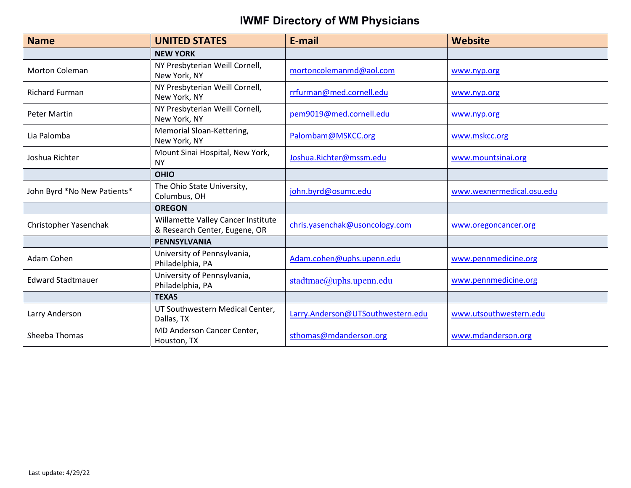| <b>Name</b>                 | <b>UNITED STATES</b>                                                | E-mail                            | <b>Website</b>            |
|-----------------------------|---------------------------------------------------------------------|-----------------------------------|---------------------------|
|                             | <b>NEW YORK</b>                                                     |                                   |                           |
| <b>Morton Coleman</b>       | NY Presbyterian Weill Cornell,<br>New York, NY                      | mortoncolemanmd@aol.com           | www.nyp.org               |
| <b>Richard Furman</b>       | NY Presbyterian Weill Cornell,<br>New York, NY                      | rrfurman@med.cornell.edu          | www.nyp.org               |
| Peter Martin                | NY Presbyterian Weill Cornell,<br>New York, NY                      | pem9019@med.cornell.edu           | www.nyp.org               |
| Lia Palomba                 | Memorial Sloan-Kettering,<br>New York, NY                           | Palombam@MSKCC.org                | www.mskcc.org             |
| Joshua Richter              | Mount Sinai Hospital, New York,<br><b>NY</b>                        | Joshua.Richter@mssm.edu           | www.mountsinai.org        |
|                             | <b>OHIO</b>                                                         |                                   |                           |
| John Byrd *No New Patients* | The Ohio State University,<br>Columbus, OH                          | john.byrd@osumc.edu               | www.wexnermedical.osu.edu |
|                             | <b>OREGON</b>                                                       |                                   |                           |
| Christopher Yasenchak       | Willamette Valley Cancer Institute<br>& Research Center, Eugene, OR | chris.yasenchak@usoncology.com    | www.oregoncancer.org      |
|                             | <b>PENNSYLVANIA</b>                                                 |                                   |                           |
| Adam Cohen                  | University of Pennsylvania,<br>Philadelphia, PA                     | Adam.cohen@uphs.upenn.edu         | www.pennmedicine.org      |
| <b>Edward Stadtmauer</b>    | University of Pennsylvania,<br>Philadelphia, PA                     | stadtmae@uphs.upenn.edu           | www.pennmedicine.org      |
|                             | <b>TEXAS</b>                                                        |                                   |                           |
| Larry Anderson              | UT Southwestern Medical Center,<br>Dallas, TX                       | Larry.Anderson@UTSouthwestern.edu | www.utsouthwestern.edu    |
| Sheeba Thomas               | MD Anderson Cancer Center,<br>Houston, TX                           | sthomas@mdanderson.org            | www.mdanderson.org        |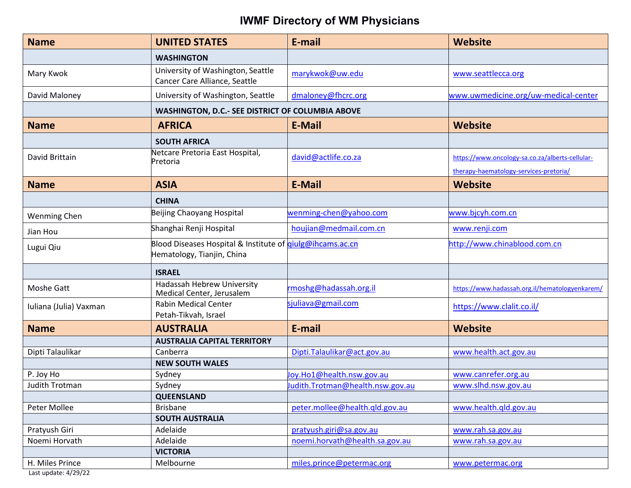| <b>Name</b>            | <b>UNITED STATES</b>                                                                           | E-mail                           | <b>Website</b>                                                                            |
|------------------------|------------------------------------------------------------------------------------------------|----------------------------------|-------------------------------------------------------------------------------------------|
|                        | <b>WASHINGTON</b>                                                                              |                                  |                                                                                           |
| Mary Kwok              | University of Washington, Seattle<br>Cancer Care Alliance, Seattle                             | marykwok@uw.edu                  | www.seattlecca.org                                                                        |
| David Maloney          | University of Washington, Seattle                                                              | dmaloney@fhcrc.org               | www.uwmedicine.org/uw-medical-center                                                      |
|                        | WASHINGTON, D.C.- SEE DISTRICT OF COLUMBIA ABOVE                                               |                                  |                                                                                           |
| <b>Name</b>            | <b>AFRICA</b>                                                                                  | <b>E-Mail</b>                    | <b>Website</b>                                                                            |
|                        | <b>SOUTH AFRICA</b>                                                                            |                                  |                                                                                           |
| David Brittain         | Netcare Pretoria East Hospital,<br>Pretoria                                                    | david@actlife.co.za              | https://www.oncology-sa.co.za/alberts-cellular-<br>therapy-haematology-services-pretoria/ |
| <b>Name</b>            | <b>ASIA</b>                                                                                    | <b>E-Mail</b>                    | <b>Website</b>                                                                            |
|                        | <b>CHINA</b>                                                                                   |                                  |                                                                                           |
| <b>Wenming Chen</b>    | Beijing Chaoyang Hospital                                                                      | wenming-chen@yahoo.com           | www.bjcyh.com.cn                                                                          |
| Jian Hou               | Shanghai Renji Hospital                                                                        | houjian@medmail.com.cn           | www.renji.com                                                                             |
| Lugui Qiu              | Blood Diseases Hospital & Institute of <i>qiulg@ihcams.ac.cn</i><br>Hematology, Tianjin, China |                                  | http://www.chinablood.com.cn                                                              |
|                        | <b>ISRAEL</b>                                                                                  |                                  |                                                                                           |
| Moshe Gatt             | Hadassah Hebrew University<br>Medical Center, Jerusalem                                        | rmoshg@hadassah.org.il           | https://www.hadassah.org.il/hematologyenkarem/                                            |
| Iuliana (Julia) Vaxman | <b>Rabin Medical Center</b><br>Petah-Tikvah, Israel                                            | sjuliava@gmail.com               | https://www.clalit.co.il/                                                                 |
| <b>Name</b>            | <b>AUSTRALIA</b>                                                                               | E-mail                           | <b>Website</b>                                                                            |
|                        | <b>AUSTRALIA CAPITAL TERRITORY</b>                                                             |                                  |                                                                                           |
| Dipti Talaulikar       | Canberra                                                                                       | Dipti.Talaulikar@act.gov.au      | www.health.act.gov.au                                                                     |
|                        | <b>NEW SOUTH WALES</b>                                                                         |                                  |                                                                                           |
| P. Joy Ho              | Sydney                                                                                         | Joy.Ho1@health.nsw.gov.au        | www.canrefer.org.au                                                                       |
| Judith Trotman         | Sydney                                                                                         | Judith.Trotman@health.nsw.gov.au | www.slhd.nsw.gov.au                                                                       |
|                        | <b>QUEENSLAND</b>                                                                              |                                  |                                                                                           |
| Peter Mollee           | <b>Brisbane</b>                                                                                | peter.mollee@health.qld.gov.au   | www.health.gld.gov.au                                                                     |
|                        | <b>SOUTH AUSTRALIA</b>                                                                         |                                  |                                                                                           |
| Pratyush Giri          | Adelaide                                                                                       | pratyush.giri@sa.gov.au          | www.rah.sa.gov.au                                                                         |
| Noemi Horvath          | Adelaide                                                                                       | noemi.horvath@health.sa.gov.au   | www.rah.sa.gov.au                                                                         |
|                        | <b>VICTORIA</b>                                                                                |                                  |                                                                                           |
| H. Miles Prince        | Melbourne                                                                                      | miles.prince@petermac.org        | www.petermac.org                                                                          |

Last update: 4/29/22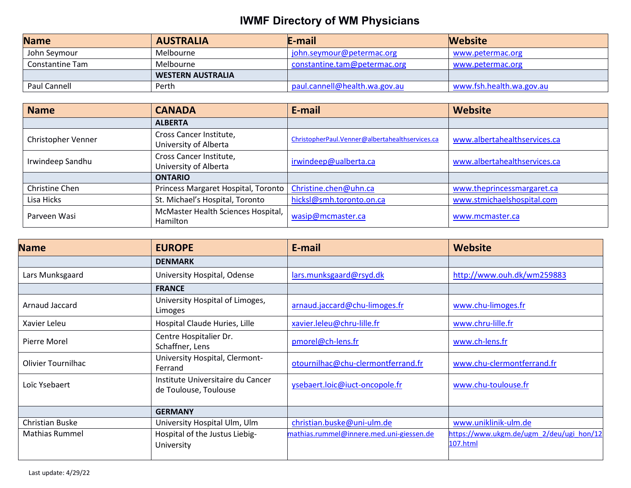| <b>Name</b>     | <b>AUSTRALIA</b>         | E-mail                        | <b>Website</b>           |
|-----------------|--------------------------|-------------------------------|--------------------------|
| John Seymour    | Melbourne                | john.seymour@petermac.org     | www.petermac.org         |
| Constantine Tam | Melbourne                | constantine.tam@petermac.org  | www.petermac.org         |
|                 | <b>WESTERN AUSTRALIA</b> |                               |                          |
| Paul Cannell    | Perth                    | paul.cannell@health.wa.gov.au | www.fsh.health.wa.gov.au |

| <b>Name</b>        | <b>CANADA</b>                                    | E-mail                                          | Website                      |
|--------------------|--------------------------------------------------|-------------------------------------------------|------------------------------|
|                    | <b>ALBERTA</b>                                   |                                                 |                              |
| Christopher Venner | Cross Cancer Institute,<br>University of Alberta | ChristopherPaul.Venner@albertahealthservices.ca | www.albertahealthservices.ca |
| Irwindeep Sandhu   | Cross Cancer Institute,<br>University of Alberta | irwindeep@ualberta.ca                           | www.albertahealthservices.ca |
|                    | <b>ONTARIO</b>                                   |                                                 |                              |
| Christine Chen     | Princess Margaret Hospital, Toronto              | Christine.chen@uhn.ca                           | www.theprincessmargaret.ca   |
| Lisa Hicks         | St. Michael's Hospital, Toronto                  | hicksl@smh.toronto.on.ca                        | www.stmichaelshospital.com   |
| Parveen Wasi       | McMaster Health Sciences Hospital,<br>Hamilton   | wasip@mcmaster.ca                               | www.mcmaster.ca              |

| <b>Name</b>           | <b>EUROPE</b>                                              | E-mail                                   | Website                                              |
|-----------------------|------------------------------------------------------------|------------------------------------------|------------------------------------------------------|
|                       | <b>DENMARK</b>                                             |                                          |                                                      |
| Lars Munksgaard       | University Hospital, Odense                                | lars.munksgaard@rsyd.dk                  | http://www.ouh.dk/wm259883                           |
|                       | <b>FRANCE</b>                                              |                                          |                                                      |
| Arnaud Jaccard        | University Hospital of Limoges,<br>Limoges                 | arnaud.jaccard@chu-limoges.fr            | www.chu-limoges.fr                                   |
| Xavier Leleu          | Hospital Claude Huries, Lille                              | xavier.leleu@chru-lille.fr               | www.chru-lille.fr                                    |
| Pierre Morel          | Centre Hospitalier Dr.<br>Schaffner, Lens                  | pmorel@ch-lens.fr                        | www.ch-lens.fr                                       |
| Olivier Tournilhac    | University Hospital, Clermont-<br>Ferrand                  | otournilhac@chu-clermontferrand.fr       | www.chu-clermontferrand.fr                           |
| Loïc Ysebaert         | Institute Universitaire du Cancer<br>de Toulouse, Toulouse | ysebaert.loic@iuct-oncopole.fr           | www.chu-toulouse.fr                                  |
|                       | <b>GERMANY</b>                                             |                                          |                                                      |
| Christian Buske       | University Hospital Ulm, Ulm                               | christian.buske@uni-ulm.de               | www.uniklinik-ulm.de                                 |
| <b>Mathias Rummel</b> | Hospital of the Justus Liebig-<br>University               | mathias.rummel@innere.med.uni-giessen.de | https://www.ukgm.de/ugm 2/deu/ugi hon/12<br>107.html |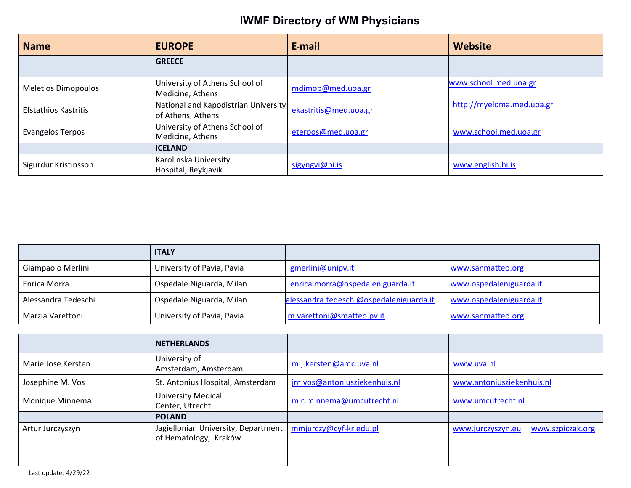| <b>Name</b>                 | <b>EUROPE</b>                                             | E-mail                | Website                   |
|-----------------------------|-----------------------------------------------------------|-----------------------|---------------------------|
|                             | <b>GREECE</b>                                             |                       |                           |
| <b>Meletios Dimopoulos</b>  | University of Athens School of<br>Medicine, Athens        | mdimop@med.uoa.gr     | www.school.med.uoa.gr     |
| <b>Efstathios Kastritis</b> | National and Kapodistrian University<br>of Athens, Athens | ekastritis@med.uoa.gr | http://myeloma.med.uoa.gr |
| Evangelos Terpos            | University of Athens School of<br>Medicine, Athens        | eterpos@med.uoa.gr    | www.school.med.uoa.gr     |
|                             | <b>ICELAND</b>                                            |                       |                           |
| Sigurdur Kristinsson        | Karolinska University<br>Hospital, Reykjavik              | sigyngvi@hi.is        | www.english.hi.is         |

|                     | <b>ITALY</b>               |                                         |                         |
|---------------------|----------------------------|-----------------------------------------|-------------------------|
| Giampaolo Merlini   | University of Pavia, Pavia | gmerlini@unipv.it                       | www.sanmatteo.org       |
| Enrica Morra        | Ospedale Niguarda, Milan   | enrica.morra@ospedaleniguarda.it        | www.ospedaleniguarda.it |
| Alessandra Tedeschi | Ospedale Niguarda, Milan   | alessandra.tedeschi@ospedaleniguarda.it | www.ospedaleniguarda.it |
| Marzia Varettoni    | University of Pavia, Pavia | m.varettoni@smatteo.pv.it               | www.sanmatteo.org       |

|                    | <b>NETHERLANDS</b>                                           |                              |                                       |
|--------------------|--------------------------------------------------------------|------------------------------|---------------------------------------|
| Marie Jose Kersten | University of<br>Amsterdam, Amsterdam                        | m.j.kersten@amc.uva.nl       | www.uva.nl                            |
| Josephine M. Vos   | St. Antonius Hospital, Amsterdam                             | jm.vos@antoniusziekenhuis.nl | www.antoniusziekenhuis.nl             |
| Monique Minnema    | <b>University Medical</b><br>Center, Utrecht                 | m.c.minnema@umcutrecht.nl    | www.umcutrecht.nl                     |
|                    | <b>POLAND</b>                                                |                              |                                       |
| Artur Jurczyszyn   | Jagiellonian University, Department<br>of Hematology, Kraków | mmjurczy@cyf-kr.edu.pl       | www.szpiczak.org<br>www.jurczyszyn.eu |